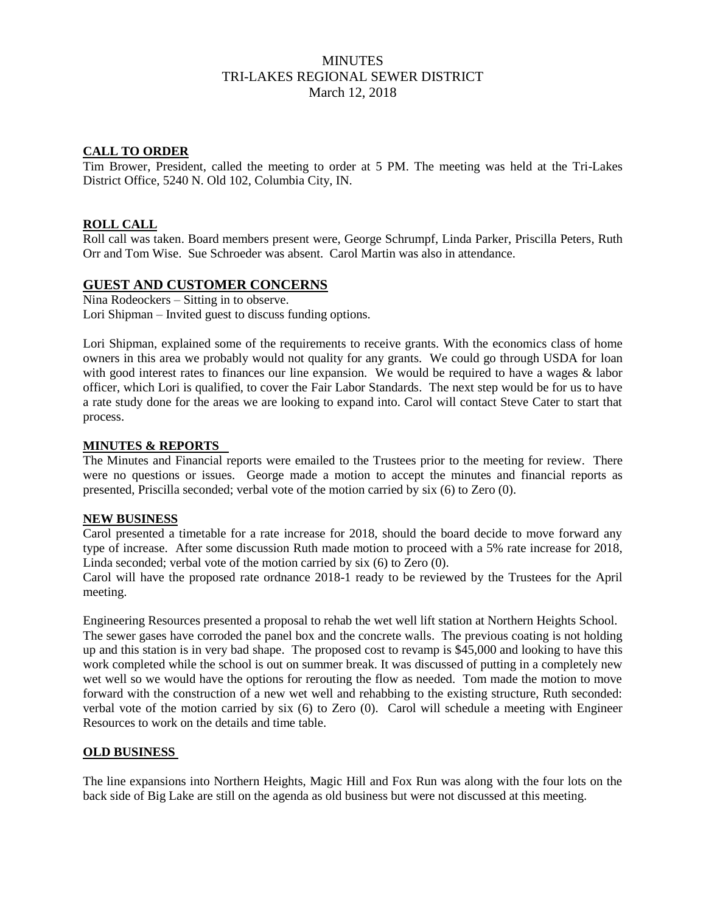# MINUTES TRI-LAKES REGIONAL SEWER DISTRICT March 12, 2018

## **CALL TO ORDER**

Tim Brower, President, called the meeting to order at 5 PM. The meeting was held at the Tri-Lakes District Office, 5240 N. Old 102, Columbia City, IN.

## **ROLL CALL**

Roll call was taken. Board members present were, George Schrumpf, Linda Parker, Priscilla Peters, Ruth Orr and Tom Wise. Sue Schroeder was absent. Carol Martin was also in attendance.

## **GUEST AND CUSTOMER CONCERNS**

Nina Rodeockers – Sitting in to observe. Lori Shipman – Invited guest to discuss funding options.

Lori Shipman, explained some of the requirements to receive grants. With the economics class of home owners in this area we probably would not quality for any grants. We could go through USDA for loan with good interest rates to finances our line expansion. We would be required to have a wages & labor officer, which Lori is qualified, to cover the Fair Labor Standards. The next step would be for us to have a rate study done for the areas we are looking to expand into. Carol will contact Steve Cater to start that process.

#### **MINUTES & REPORTS**

The Minutes and Financial reports were emailed to the Trustees prior to the meeting for review. There were no questions or issues. George made a motion to accept the minutes and financial reports as presented, Priscilla seconded; verbal vote of the motion carried by six (6) to Zero (0).

#### **NEW BUSINESS**

Carol presented a timetable for a rate increase for 2018, should the board decide to move forward any type of increase. After some discussion Ruth made motion to proceed with a 5% rate increase for 2018, Linda seconded; verbal vote of the motion carried by six (6) to Zero (0).

Carol will have the proposed rate ordnance 2018-1 ready to be reviewed by the Trustees for the April meeting.

Engineering Resources presented a proposal to rehab the wet well lift station at Northern Heights School. The sewer gases have corroded the panel box and the concrete walls. The previous coating is not holding up and this station is in very bad shape. The proposed cost to revamp is \$45,000 and looking to have this work completed while the school is out on summer break. It was discussed of putting in a completely new wet well so we would have the options for rerouting the flow as needed. Tom made the motion to move forward with the construction of a new wet well and rehabbing to the existing structure, Ruth seconded: verbal vote of the motion carried by six (6) to Zero (0). Carol will schedule a meeting with Engineer Resources to work on the details and time table.

#### **OLD BUSINESS**

The line expansions into Northern Heights, Magic Hill and Fox Run was along with the four lots on the back side of Big Lake are still on the agenda as old business but were not discussed at this meeting.